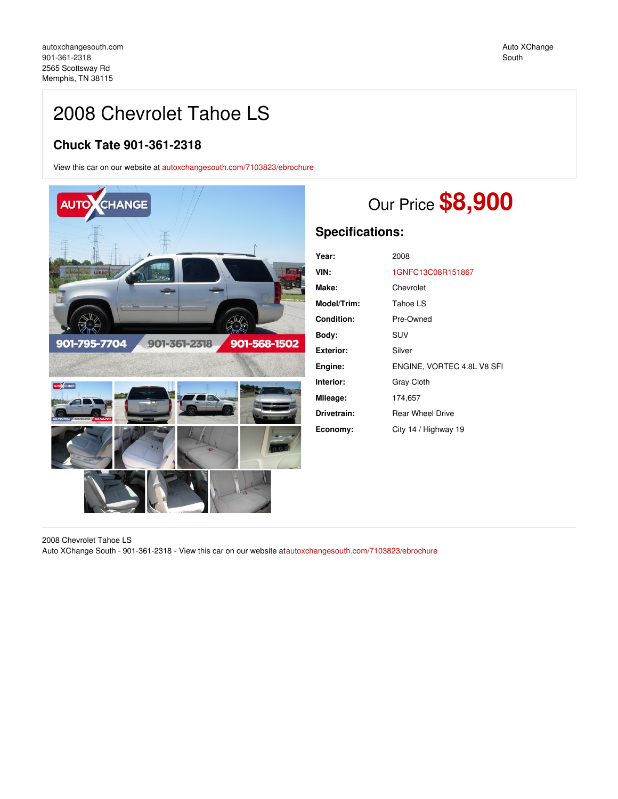Auto XChange South

## 2008 Chevrolet Tahoe LS

### **Chuck Tate 901-361-2318**

View this car on our website at [autoxchangesouth.com/7103823/ebrochure](https://autoxchangesouth.com/vehicle/7103823/2008-chevrolet-tahoe-ls-memphis-tn-38115/7103823/ebrochure)



# Our Price **\$8,900**

### **Specifications:**

| Year:             | 2008                       |  |
|-------------------|----------------------------|--|
| VIN:              | 1GNFC13C08R151867          |  |
| Make:             | Chevrolet                  |  |
| Model/Trim:       | Tahoe LS                   |  |
| <b>Condition:</b> | Pre-Owned                  |  |
| Body:             | SUV                        |  |
| Exterior:         | Silver                     |  |
| Engine:           | ENGINE, VORTEC 4.8L V8 SFI |  |
| Interior:         | <b>Gray Cloth</b>          |  |
| Mileage:          | 174,657                    |  |
| Drivetrain:       | <b>Rear Wheel Drive</b>    |  |
| Economy:          | City 14 / Highway 19       |  |
|                   |                            |  |

2008 Chevrolet Tahoe LS Auto XChange South - 901-361-2318 - View this car on our website at[autoxchangesouth.com/7103823/ebrochure](https://autoxchangesouth.com/vehicle/7103823/2008-chevrolet-tahoe-ls-memphis-tn-38115/7103823/ebrochure)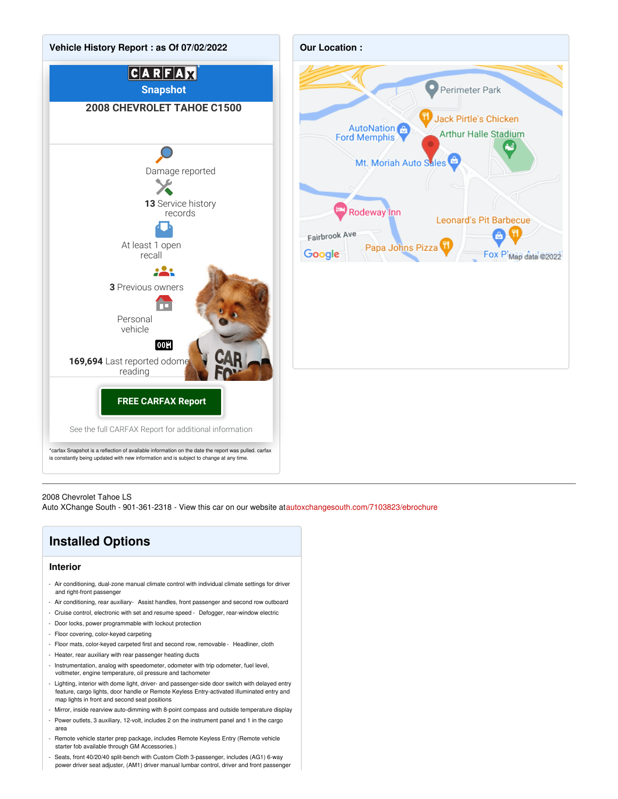



#### 2008 Chevrolet Tahoe LS

Auto XChange South - 901-361-2318 - View this car on our website at[autoxchangesouth.com/7103823/ebrochure](https://autoxchangesouth.com/vehicle/7103823/2008-chevrolet-tahoe-ls-memphis-tn-38115/7103823/ebrochure)

### **Installed Options**

#### **Interior**

- Air conditioning, dual-zone manual climate control with individual climate settings for driver and right-front passenger
- Air conditioning, rear auxiliary- Assist handles, front passenger and second row outboard
- Cruise control, electronic with set and resume speed Defogger, rear-window electric
- Door locks, power programmable with lockout protection
- Floor covering, color-keyed carpeting
- Floor mats, color-keyed carpeted first and second row, removable Headliner, cloth
- Heater, rear auxiliary with rear passenger heating ducts
- Instrumentation, analog with speedometer, odometer with trip odometer, fuel level, voltmeter, engine temperature, oil pressure and tachometer
- Lighting, interior with dome light, driver- and passenger-side door switch with delayed entry feature, cargo lights, door handle or Remote Keyless Entry-activated illuminated entry and map lights in front and second seat positions
- Mirror, inside rearview auto-dimming with 8-point compass and outside temperature display
- Power outlets, 3 auxiliary, 12-volt, includes 2 on the instrument panel and 1 in the cargo area
- Remote vehicle starter prep package, includes Remote Keyless Entry (Remote vehicle starter fob available through GM Accessories.)
- Seats, front 40/20/40 split-bench with Custom Cloth 3-passenger, includes (AG1) 6-way power driver seat adjuster, (AM1) driver manual lumbar control, driver and front passenger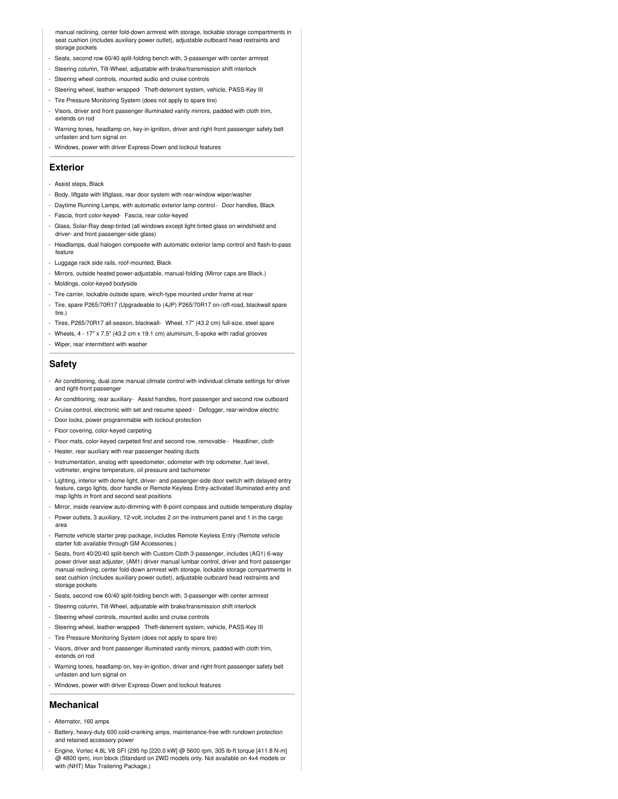manual reclining, center fold-down armrest with storage, lockable storage compartments in seat cushion (includes auxiliary power outlet), adjustable outboard head restraints and storage pockets

- Seats, second row 60/40 split-folding bench with, 3-passenger with center armrest
- Steering column, Tilt-Wheel, adjustable with brake/transmission shift interlock
- Steering wheel controls, mounted audio and cruise controls
- Steering wheel, leather-wrapped- Theft-deterrent system, vehicle, PASS-Key III
- Tire Pressure Monitoring System (does not apply to spare tire)
- Visors, driver and front passenger illuminated vanity mirrors, padded with cloth trim, extends on rod
- Warning tones, headlamp on, key-in-ignition, driver and right-front passenger safety belt unfasten and turn signal on
- Windows, power with driver Express-Down and lockout features

#### **Exterior**

- Assist steps, Black
- Body, liftgate with liftglass, rear door system with rear-window wiper/washer
- Daytime Running Lamps, with automatic exterior lamp control- Door handles, Black
- Fascia, front color-keyed- Fascia, rear color-keyed
- Glass, Solar-Ray deep-tinted (all windows except light-tinted glass on windshield and driver- and front passenger-side glass)
- Headlamps, dual halogen composite with automatic exterior lamp control and flash-to-pass feature
- Luggage rack side rails, roof-mounted, Black
- Mirrors, outside heated power-adjustable, manual-folding (Mirror caps are Black.)
- Moldings, color-keyed bodyside
- Tire carrier, lockable outside spare, winch-type mounted under frame at rear
- Tire, spare P265/70R17 (Upgradeable to (4JP) P265/70R17 on-/off-road, blackwall spare tire.)
- Tires, P265/70R17 all-season, blackwall- Wheel, 17" (43.2 cm) full-size, steel spare
- Wheels, 4 17" x 7.5" (43.2 cm x 19.1 cm) aluminum, 5-spoke with radial grooves
- Wiper, rear intermittent with washer

### **Safety**

- Air conditioning, dual-zone manual climate control with individual climate settings for driver and right-front passenger
- Air conditioning, rear auxiliary- Assist handles, front passenger and second row outboard
- Cruise control, electronic with set and resume speed Defogger, rear-window electric
- Door locks, power programmable with lockout protection
- Floor covering, color-keyed carpeting
- Floor mats, color-keyed carpeted first and second row, removable Headliner, cloth
- Heater, rear auxiliary with rear passenger heating ducts
- Instrumentation, analog with speedometer, odometer with trip odometer, fuel level, voltmeter, engine temperature, oil pressure and tachometer
- Lighting, interior with dome light, driver- and passenger-side door switch with delayed entry feature, cargo lights, door handle or Remote Keyless Entry-activated illuminated entry and map lights in front and second seat positions
- Mirror, inside rearview auto-dimming with 8-point compass and outside temperature display
- Power outlets, 3 auxiliary, 12-volt, includes 2 on the instrument panel and 1 in the cargo area
- Remote vehicle starter prep package, includes Remote Keyless Entry (Remote vehicle starter fob available through GM Accessories.)
- Seats, front 40/20/40 split-bench with Custom Cloth 3-passenger, includes (AG1) 6-way power driver seat adjuster, (AM1) driver manual lumbar control, driver and front passenger manual reclining, center fold-down armrest with storage, lockable storage compartments in seat cushion (includes auxiliary power outlet), adjustable outboard head restraints and storage pockets
- Seats, second row 60/40 split-folding bench with, 3-passenger with center armrest
- Steering column, Tilt-Wheel, adjustable with brake/transmission shift interlock
- Steering wheel controls, mounted audio and cruise controls
- Steering wheel, leather-wrapped- Theft-deterrent system, vehicle, PASS-Key III
- Tire Pressure Monitoring System (does not apply to spare tire)
- Visors, driver and front passenger illuminated vanity mirrors, padded with cloth trim, extends on rod
- Warning tones, headlamp on, key-in-ignition, driver and right-front passenger safety belt unfasten and turn signal on
- Windows, power with driver Express-Down and lockout features

### **Mechanical**

- Alternator, 160 amps
- Battery, heavy-duty 600 cold-cranking amps, maintenance-free with rundown protection and retained accessory power
- Engine, Vortec 4.8L V8 SFI (295 hp [220.0 kW] @ 5600 rpm, 305 lb-ft torque [411.8 N-m] @ 4800 rpm), iron block (Standard on 2WD models only. Not available on 4x4 models or with (NHT) Max Trailering Package.)